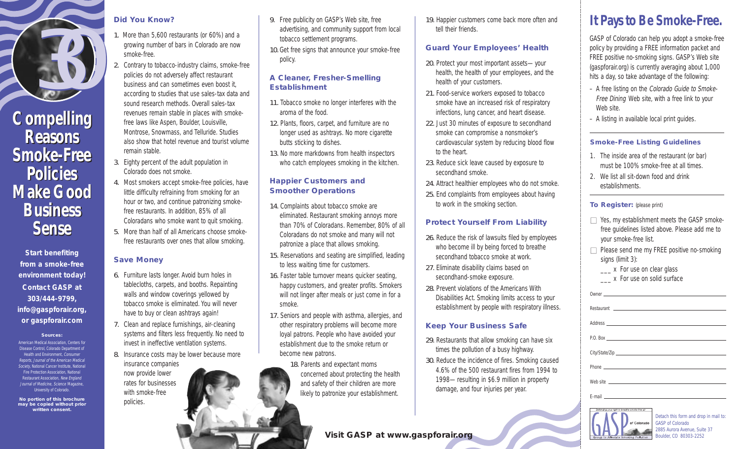

## **Reasons Reasons Smoke-Free Smoke-Free Policies Policies Make Good Make Good Business Business Sense Sense**

**Start benefiting from a smoke-free environment today! Contact GASP at 303/444-9799, info@gaspforair.org, or gaspforair.com**

**Sources:** American Medical Association, Centers for Disease Control, Colorado Department of Health and Environment, Consumer Reports, Journal of the American Medical Society, National Cancer Institute, National Fire Protection Association, National Restaurant Association, New England **Journal of Medicine, Science Magazine** University of Colorado.

**No portion of this brochure may be copied without prior written consent.**

#### **Did You Know?**

- 1. More than 5,600 restaurants (or 60%) and a growing number of bars in Colorado are now smoke-free.
- 2. Contrary to tobacco-industry claims, smoke-free policies do not adversely affect restaurant business and can sometimes even boost it, according to studies that use sales-tax data and sound research methods. Overall sales-tax revenues remain stable in places with smokefree laws like Aspen, Boulder, Louisville, Montrose, Snowmass, and Telluride. Studies also show that hotel revenue and tourist volume remain stable. Compelling Fevenues remain stable in places with smoke-<br>
12. Plants, floors, carpet, and furniture are no 22. Just 30 minutes of exposure to secondhand - A listing in available local print guides.
	- 3. Eighty percent of the adult population in Colorado does not smoke.
	- 4. Most smokers accept smoke-free policies, have little difficulty refraining from smoking for an hour or two, and continue patronizing smokefree restaurants. In addition, 85% of all Coloradans who smoke want to quit smoking.
	- 5. More than half of all Americans choose smokefree restaurants over ones that allow smoking.

## **Save Money**

- 6. Furniture lasts longer. Avoid burn holes in tablecloths, carpets, and booths. Repainting walls and window coverings yellowed by tobacco smoke is eliminated. You will never have to buy or clean ashtrays again!
- 7. Clean and replace furnishings, air-cleaning systems and filters less frequently. No need to invest in ineffective ventilation systems.
- 8. Insurance costs may be lower because more

insurance companies now provide lower rates for businesses with smoke-free policies.

- 9. Free publicity on GASP's Web site, free advertising, and community support from local tobacco settlement programs.
- 10. Get free signs that announce your smoke-free policy.

#### **A Cleaner, Fresher-Smelling Establishment**

- 11. Tobacco smoke no longer interferes with the aroma of the food.
- 12. Plants, floors, carpet, and furniture are no longer used as ashtrays. No more cigarette butts sticking to dishes.
- 13. No more markdowns from health inspectors who catch employees smoking in the kitchen.

#### **Happier Customers and Smoother Operations**

- 14. Complaints about tobacco smoke are eliminated. Restaurant smoking annoys more than 70% of Coloradans. Remember, 80% of all Coloradans do not smoke and many will not patronize a place that allows smoking.
- 15. Reservations and seating are simplified, leading to less waiting time for customers.
- 16. Faster table turnover means quicker seating, happy customers, and greater profits. Smokers will not linger after meals or just come in for a smoke.
- 17. Seniors and people with asthma, allergies, and other respiratory problems will become more loyal patrons. People who have avoided your establishment due to the smoke return or become new patrons.
	- 18. Parents and expectant moms concerned about protecting the health and safety of their children are more likely to patronize your establishment.

**Visit GASP at www.gaspforair.org**

19. Happier customers come back more often and tell their friends.

## **Guard Your Employees' Health**

- 20. Protect your most important assets—your health, the health of your employees, and the health of your customers.
- 21. Food-service workers exposed to tobacco smoke have an increased risk of respiratory infections, lung cancer, and heart disease.
- 22. Just 30 minutes of exposure to secondhand smoke can compromise a nonsmoker's cardiovascular system by reducing blood flow to the heart.
- 23. Reduce sick leave caused by exposure to secondhand smoke.
- 24. Attract healthier employees who do not smoke.
- 25. End complaints from employees about having to work in the smoking section.

## **Protect Yourself From Liability**

- 26. Reduce the risk of lawsuits filed by employees who become ill by being forced to breathe secondhand tobacco smoke at work.
- 27. Eliminate disability claims based on secondhand-smoke exposure.
- Disabilities Act. Smoking limits access to your establishment by people with respiratory illness.

## **Keep Your Business Safe**

- 29. Restaurants that allow smoking can have six times the pollution of a busy highway.
- 30. Reduce the incidence of fires. Smoking caused 4.6% of the 500 restaurant fires from 1994 to 1998—resulting in \$6.9 million in property damage, and four injuries per year.



**Smoke-Free Listing Guidelines** 1. The inside area of the restaurant (or bar) must be 100% smoke-free at all times.

**It Pays to Be Smoke-Free.**

GASP of Colorado can help you adopt a smoke-free policy by providing a FREE information packet and FREE positive no-smoking signs. GASP's Web site (gaspforair.org) is currently averaging about 1,000 hits a day, so take advantage of the following: – A free listing on the Colorado Guide to Smoke-Free Dining Web site, with a free link to your

2. We list all sit-down food and drink

 $\Box$  Yes, my establishment meets the GASP smokefree guidelines listed above. Please add me to

 $\Box$  Please send me my FREE positive no-smoking

establishments.

Web site.

**To Register:** (please print)

your smoke-free list.

\_\_\_ x For use on clear glass \_\_\_ x For use on solid surface

signs (limit 3):

Owner

Address P.O. Box

Phone

E-mail

Web site

Restaurant

City/State/Zip

Detach this form and drop in mail to: GASP of Colorado 2885 Aurora Avenue, Suite 37 Boulder, CO 80303-2252

- 
- 
- 
- 
- 
- 

- 
- 28. Prevent violations of the Americans With